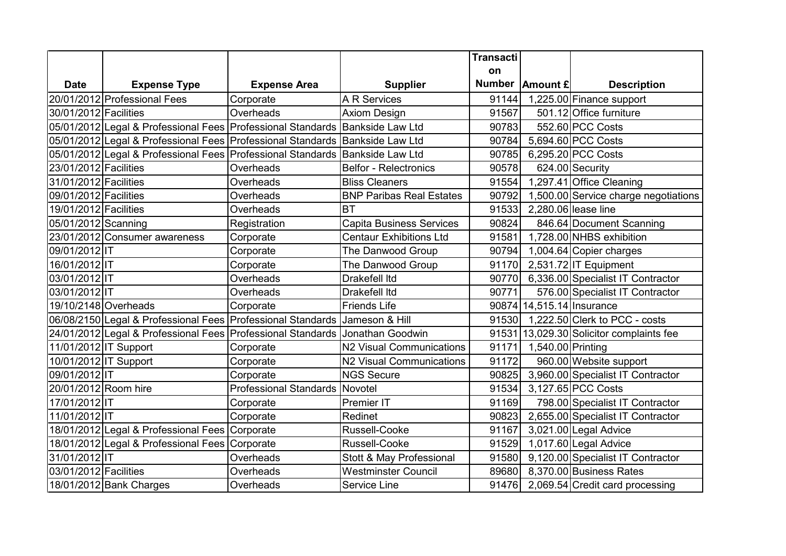|                       |                                                                                  |                                |                                 | Transacti |                           |                                          |
|-----------------------|----------------------------------------------------------------------------------|--------------------------------|---------------------------------|-----------|---------------------------|------------------------------------------|
|                       |                                                                                  |                                |                                 | on        |                           |                                          |
| <b>Date</b>           | <b>Expense Type</b>                                                              | <b>Expense Area</b>            | <b>Supplier</b>                 |           | Number   Amount £         | <b>Description</b>                       |
|                       | 20/01/2012 Professional Fees                                                     | Corporate                      | <b>A R Services</b>             |           |                           | 91144 1,225.00 Finance support           |
| 30/01/2012 Facilities |                                                                                  | Overheads                      | <b>Axiom Design</b>             | 91567     |                           | 501.12 Office furniture                  |
|                       | 05/01/2012 Legal & Professional Fees Professional Standards Bankside Law Ltd     |                                |                                 | 90783     |                           | 552.60 PCC Costs                         |
|                       | 05/01/2012 Legal & Professional Fees   Professional Standards   Bankside Law Ltd |                                |                                 | 90784     |                           | 5,694.60 PCC Costs                       |
|                       | 05/01/2012 Legal & Professional Fees   Professional Standards   Bankside Law Ltd |                                |                                 | 90785     |                           | 6,295.20 PCC Costs                       |
| 23/01/2012 Facilities |                                                                                  | Overheads                      | <b>Belfor - Relectronics</b>    | 90578     |                           | 624.00 Security                          |
| 31/01/2012 Facilities |                                                                                  | Overheads                      | <b>Bliss Cleaners</b>           | 91554     |                           | 1,297.41 Office Cleaning                 |
| 09/01/2012 Facilities |                                                                                  | Overheads                      | <b>BNP Paribas Real Estates</b> | 90792     |                           | 1,500.00 Service charge negotiations     |
| 19/01/2012 Facilities |                                                                                  | Overheads                      | <b>BT</b>                       | 91533     |                           | 2,280.06 lease line                      |
| 05/01/2012 Scanning   |                                                                                  | Registration                   | <b>Capita Business Services</b> | 90824     |                           | 846.64 Document Scanning                 |
|                       | 23/01/2012 Consumer awareness                                                    | Corporate                      | <b>Centaur Exhibitions Ltd</b>  |           |                           | 91581 1,728.00 NHBS exhibition           |
| 09/01/2012 IT         |                                                                                  | Corporate                      | The Danwood Group               | 90794     |                           | 1,004.64 Copier charges                  |
| 16/01/2012 IT         |                                                                                  | Corporate                      | The Danwood Group               | 91170     |                           | $2,531.72$ IT Equipment                  |
| 03/01/2012 IT         |                                                                                  | Overheads                      | Drakefell Itd                   |           |                           | 90770 6,336.00 Specialist IT Contractor  |
| 03/01/2012 IT         |                                                                                  | Overheads                      | <b>Drakefell Itd</b>            | 90771     |                           | 576.00 Specialist IT Contractor          |
| 19/10/2148 Overheads  |                                                                                  | Corporate                      | <b>Friends Life</b>             |           | 90874 14,515.14 Insurance |                                          |
|                       | 06/08/2150 Legal & Professional Fees Professional Standards JJameson & Hill      |                                |                                 |           |                           | 91530 1,222.50 Clerk to PCC - costs      |
|                       | 24/01/2012 Legal & Professional Fees Professional Standards Jonathan Goodwin     |                                |                                 |           |                           | 91531 13,029.30 Solicitor complaints fee |
| 11/01/2012 IT Support |                                                                                  | Corporate                      | N2 Visual Communications        |           | 91171 1,540.00 Printing   |                                          |
| 10/01/2012 IT Support |                                                                                  | Corporate                      | N2 Visual Communications        | 91172     |                           | 960.00 Website support                   |
| 09/01/2012 IT         |                                                                                  | Corporate                      | <b>NGS Secure</b>               | 90825     |                           | 3,960.00 Specialist IT Contractor        |
| 20/01/2012 Room hire  |                                                                                  | Professional Standards Novotel |                                 | 91534     |                           | 3,127.65 PCC Costs                       |
| 17/01/2012 IT         |                                                                                  | Corporate                      | <b>Premier IT</b>               | 91169     |                           | 798.00 Specialist IT Contractor          |
| 11/01/2012 IT         |                                                                                  | Corporate                      | Redinet                         | 90823     |                           | 2,655.00 Specialist IT Contractor        |
|                       | 18/01/2012 Legal & Professional Fees                                             | Corporate                      | Russell-Cooke                   | 91167     |                           | 3,021.00 Legal Advice                    |
|                       | 18/01/2012 Legal & Professional Fees                                             | Corporate                      | Russell-Cooke                   | 91529     |                           | 1,017.60 Legal Advice                    |
| 31/01/2012 IT         |                                                                                  | Overheads                      | Stott & May Professional        | 91580     |                           | 9,120.00 Specialist IT Contractor        |
| 03/01/2012 Facilities |                                                                                  | Overheads                      | <b>Westminster Council</b>      | 89680     |                           | 8,370.00 Business Rates                  |
|                       | 18/01/2012 Bank Charges                                                          | Overheads                      | Service Line                    |           |                           | 91476 2,069.54 Credit card processing    |